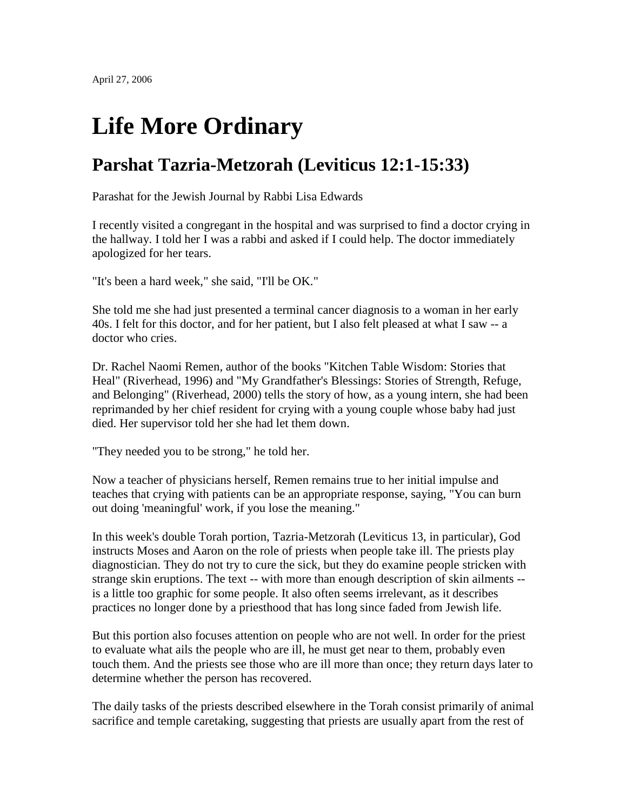## **Life More Ordinary**

## **Parshat Tazria-Metzorah (Leviticus 12:1-15:33)**

Parashat for the Jewish Journal by Rabbi Lisa Edwards

I recently visited a congregant in the hospital and was surprised to find a doctor crying in the hallway. I told her I was a rabbi and asked if I could help. The doctor immediately apologized for her tears.

"It's been a hard week," she said, "I'll be OK."

She told me she had just presented a terminal cancer diagnosis to a woman in her early 40s. I felt for this doctor, and for her patient, but I also felt pleased at what I saw -- a doctor who cries.

Dr. Rachel Naomi Remen, author of the books "Kitchen Table Wisdom: Stories that Heal" (Riverhead, 1996) and "My Grandfather's Blessings: Stories of Strength, Refuge, and Belonging" (Riverhead, 2000) tells the story of how, as a young intern, she had been reprimanded by her chief resident for crying with a young couple whose baby had just died. Her supervisor told her she had let them down.

"They needed you to be strong," he told her.

Now a teacher of physicians herself, Remen remains true to her initial impulse and teaches that crying with patients can be an appropriate response, saying, "You can burn out doing 'meaningful' work, if you lose the meaning."

In this week's double Torah portion, Tazria-Metzorah (Leviticus 13, in particular), God instructs Moses and Aaron on the role of priests when people take ill. The priests play diagnostician. They do not try to cure the sick, but they do examine people stricken with strange skin eruptions. The text -- with more than enough description of skin ailments - is a little too graphic for some people. It also often seems irrelevant, as it describes practices no longer done by a priesthood that has long since faded from Jewish life.

But this portion also focuses attention on people who are not well. In order for the priest to evaluate what ails the people who are ill, he must get near to them, probably even touch them. And the priests see those who are ill more than once; they return days later to determine whether the person has recovered.

The daily tasks of the priests described elsewhere in the Torah consist primarily of animal sacrifice and temple caretaking, suggesting that priests are usually apart from the rest of